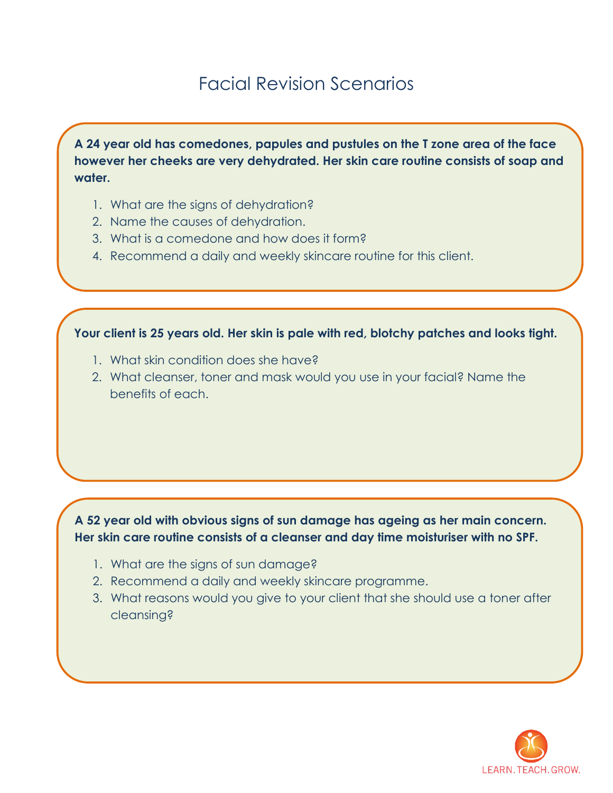## Facial Revision Scenarios

**A 24 year old has comedones, papules and pustules on the T zone area of the face however her cheeks are very dehydrated. Her skin care routine consists of soap and water.**

- 1. What are the signs of dehydration?
- 2. Name the causes of dehydration.
- 3. What is a comedone and how does it form?
- 4. Recommend a daily and weekly skincare routine for this client.

**Your client is 25 years old. Her skin is pale with red, blotchy patches and looks tight.** 

- 1. What skin condition does she have?
- 2. What cleanser, toner and mask would you use in your facial? Name the benefits of each.

## **A 52 year old with obvious signs of sun damage has ageing as her main concern. Her skin care routine consists of a cleanser and day time moisturiser with no SPF.**

- 1. What are the signs of sun damage?
- 2. Recommend a daily and weekly skincare programme.
- 3. What reasons would you give to your client that she should use a toner after cleansing?